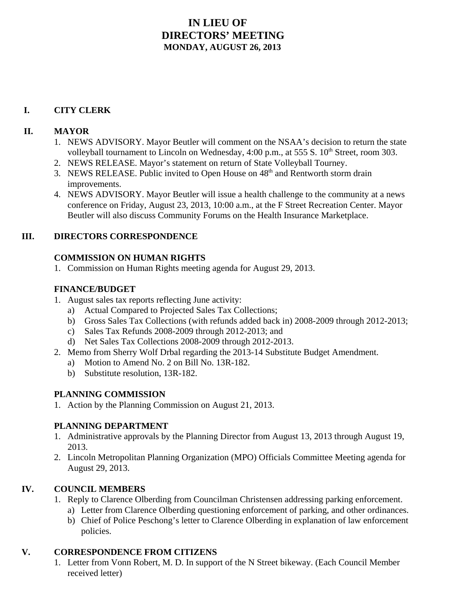# **IN LIEU OF DIRECTORS' MEETING MONDAY, AUGUST 26, 2013**

## **I. CITY CLERK**

#### **II. MAYOR**

- 1. NEWS ADVISORY. Mayor Beutler will comment on the NSAA's decision to return the state volleyball tournament to Lincoln on Wednesday,  $4:00$  p.m., at 555 S.  $10<sup>th</sup>$  Street, room 303.
- 2. NEWS RELEASE. Mayor's statement on return of State Volleyball Tourney.
- 3. NEWS RELEASE. Public invited to Open House on 48<sup>th</sup> and Rentworth storm drain improvements.
- 4. NEWS ADVISORY. Mayor Beutler will issue a health challenge to the community at a news conference on Friday, August 23, 2013, 10:00 a.m., at the F Street Recreation Center. Mayor Beutler will also discuss Community Forums on the Health Insurance Marketplace.

### **III. DIRECTORS CORRESPONDENCE**

### **COMMISSION ON HUMAN RIGHTS**

1. Commission on Human Rights meeting agenda for August 29, 2013.

### **FINANCE/BUDGET**

- 1. August sales tax reports reflecting June activity:
	- a) Actual Compared to Projected Sales Tax Collections;
	- b) Gross Sales Tax Collections (with refunds added back in) 2008-2009 through 2012-2013;
	- c) Sales Tax Refunds 2008-2009 through 2012-2013; and
	- d) Net Sales Tax Collections 2008-2009 through 2012-2013.
- 2. Memo from Sherry Wolf Drbal regarding the 2013-14 Substitute Budget Amendment.
	- a) Motion to Amend No. 2 on Bill No. 13R-182.
	- b) Substitute resolution, 13R-182.

### **PLANNING COMMISSION**

1. Action by the Planning Commission on August 21, 2013.

### **PLANNING DEPARTMENT**

- 1. Administrative approvals by the Planning Director from August 13, 2013 through August 19, 2013.
- 2. Lincoln Metropolitan Planning Organization (MPO) Officials Committee Meeting agenda for August 29, 2013.

### **IV. COUNCIL MEMBERS**

- 1. Reply to Clarence Olberding from Councilman Christensen addressing parking enforcement.
	- a) Letter from Clarence Olberding questioning enforcement of parking, and other ordinances.
	- b) Chief of Police Peschong's letter to Clarence Olberding in explanation of law enforcement policies.

### **V. CORRESPONDENCE FROM CITIZENS**

1. Letter from Vonn Robert, M. D. In support of the N Street bikeway. (Each Council Member received letter)